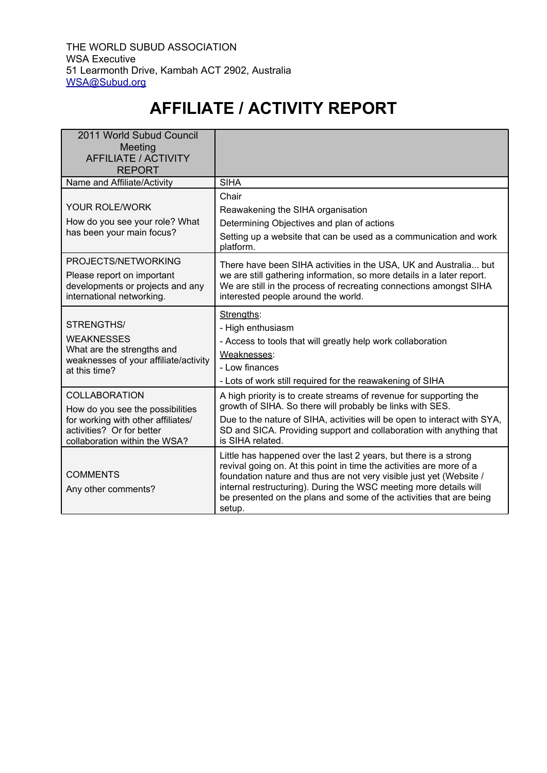## **AFFILIATE / ACTIVITY REPORT**

| 2011 World Subud Council<br>Meeting<br>AFFILIATE / ACTIVITY<br><b>REPORT</b>                                                                                 |                                                                                                                                                                                                                                                                                                                                                                       |
|--------------------------------------------------------------------------------------------------------------------------------------------------------------|-----------------------------------------------------------------------------------------------------------------------------------------------------------------------------------------------------------------------------------------------------------------------------------------------------------------------------------------------------------------------|
| Name and Affiliate/Activity                                                                                                                                  | <b>SIHA</b>                                                                                                                                                                                                                                                                                                                                                           |
| <b>YOUR ROLE/WORK</b><br>How do you see your role? What<br>has been your main focus?                                                                         | Chair<br>Reawakening the SIHA organisation<br>Determining Objectives and plan of actions<br>Setting up a website that can be used as a communication and work<br>platform.                                                                                                                                                                                            |
| PROJECTS/NETWORKING<br>Please report on important<br>developments or projects and any<br>international networking.                                           | There have been SIHA activities in the USA, UK and Australia but<br>we are still gathering information, so more details in a later report.<br>We are still in the process of recreating connections amongst SIHA<br>interested people around the world.                                                                                                               |
| STRENGTHS/<br><b>WEAKNESSES</b><br>What are the strengths and<br>weaknesses of your affiliate/activity<br>at this time?                                      | Strengths:<br>- High enthusiasm<br>- Access to tools that will greatly help work collaboration<br>Weaknesses:<br>- Low finances<br>- Lots of work still required for the reawakening of SIHA                                                                                                                                                                          |
| <b>COLLABORATION</b><br>How do you see the possibilities<br>for working with other affiliates/<br>activities? Or for better<br>collaboration within the WSA? | A high priority is to create streams of revenue for supporting the<br>growth of SIHA. So there will probably be links with SES.<br>Due to the nature of SIHA, activities will be open to interact with SYA,<br>SD and SICA. Providing support and collaboration with anything that<br>is SIHA related.                                                                |
| <b>COMMENTS</b><br>Any other comments?                                                                                                                       | Little has happened over the last 2 years, but there is a strong<br>revival going on. At this point in time the activities are more of a<br>foundation nature and thus are not very visible just yet (Website /<br>internal restructuring). During the WSC meeting more details will<br>be presented on the plans and some of the activities that are being<br>setup. |